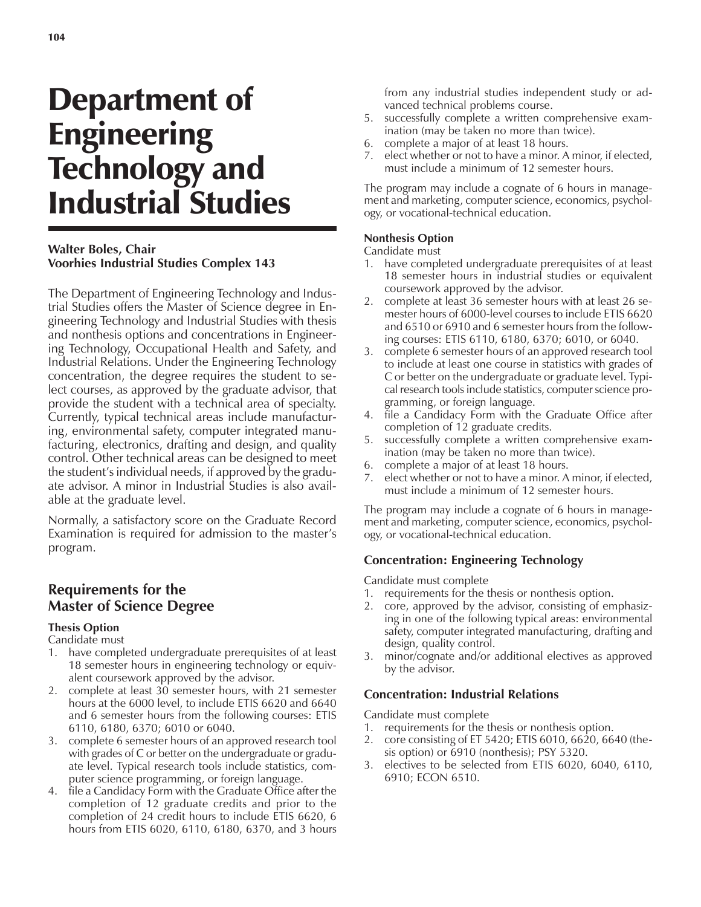# Department of Engineering Technology and Industrial Studies

## **Walter Boles, Chair Voorhies Industrial Studies Complex 143**

The Department of Engineering Technology and Industrial Studies offers the Master of Science degree in Engineering Technology and Industrial Studies with thesis and nonthesis options and concentrations in Engineering Technology, Occupational Health and Safety, and Industrial Relations. Under the Engineering Technology concentration, the degree requires the student to select courses, as approved by the graduate advisor, that provide the student with a technical area of specialty. Currently, typical technical areas include manufacturing, environmental safety, computer integrated manufacturing, electronics, drafting and design, and quality control. Other technical areas can be designed to meet the student's individual needs, if approved by the graduate advisor. A minor in Industrial Studies is also available at the graduate level.

Normally, a satisfactory score on the Graduate Record Examination is required for admission to the master's program.

# **Requirements for the Master of Science Degree**

## **Thesis Option**

Candidate must

- 1. have completed undergraduate prerequisites of at least 18 semester hours in engineering technology or equivalent coursework approved by the advisor.
- 2. complete at least 30 semester hours, with 21 semester hours at the 6000 level, to include ETIS 6620 and 6640 and 6 semester hours from the following courses: ETIS 6110, 6180, 6370; 6010 or 6040.
- 3. complete 6 semester hours of an approved research tool with grades of C or better on the undergraduate or graduate level. Typical research tools include statistics, computer science programming, or foreign language.
- 4. file a Candidacy Form with the Graduate Office after the completion of 12 graduate credits and prior to the completion of 24 credit hours to include ETIS 6620, 6 hours from ETIS 6020, 6110, 6180, 6370, and 3 hours

from any industrial studies independent study or advanced technical problems course.

- 5. successfully complete a written comprehensive examination (may be taken no more than twice).
- 6. complete a major of at least 18 hours.
- 7. elect whether or not to have a minor. A minor, if elected, must include a minimum of 12 semester hours.

The program may include a cognate of 6 hours in management and marketing, computer science, economics, psychology, or vocational-technical education.

#### **Nonthesis Option**

#### Candidate must

- 1. have completed undergraduate prerequisites of at least 18 semester hours in industrial studies or equivalent coursework approved by the advisor.
- 2. complete at least 36 semester hours with at least 26 semester hours of 6000-level courses to include ETIS 6620 and 6510 or 6910 and 6 semester hours from the following courses: ETIS 6110, 6180, 6370; 6010, or 6040.
- 3. complete 6 semester hours of an approved research tool to include at least one course in statistics with grades of C or better on the undergraduate or graduate level. Typical research tools include statistics, computer science programming, or foreign language.
- 4. file a Candidacy Form with the Graduate Office after completion of 12 graduate credits.
- 5. successfully complete a written comprehensive examination (may be taken no more than twice).
- 6. complete a major of at least 18 hours.
- 7. elect whether or not to have a minor. A minor, if elected, must include a minimum of 12 semester hours.

The program may include a cognate of 6 hours in management and marketing, computer science, economics, psychology, or vocational-technical education.

## **Concentration: Engineering Technology**

Candidate must complete

- 1. requirements for the thesis or nonthesis option.
- 2. core, approved by the advisor, consisting of emphasizing in one of the following typical areas: environmental safety, computer integrated manufacturing, drafting and design, quality control.
- 3. minor/cognate and/or additional electives as approved by the advisor.

## **Concentration: Industrial Relations**

Candidate must complete

- 1. requirements for the thesis or nonthesis option.
- 2. core consisting of ET 5420; ETIS 6010, 6620, 6640 (thesis option) or 6910 (nonthesis); PSY 5320.
- 3. electives to be selected from ETIS 6020, 6040, 6110, 6910; ECON 6510.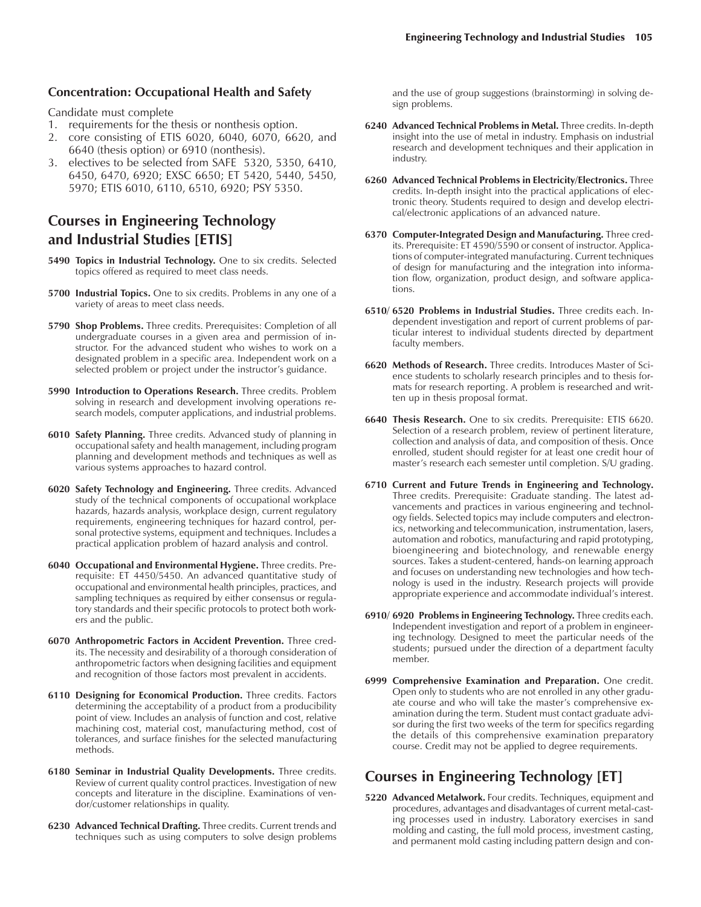#### **Concentration: Occupational Health and Safety**

Candidate must complete

- 1. requirements for the thesis or nonthesis option.
- 2. core consisting of ETIS 6020, 6040, 6070, 6620, and 6640 (thesis option) or 6910 (nonthesis).
- 3. electives to be selected from SAFE 5320, 5350, 6410, 6450, 6470, 6920; EXSC 6650; ET 5420, 5440, 5450, 5970; ETIS 6010, 6110, 6510, 6920; PSY 5350.

## **Courses in Engineering Technology and Industrial Studies [ETIS]**

- **5490 Topics in Industrial Technology.** One to six credits. Selected topics offered as required to meet class needs.
- **5700 Industrial Topics.** One to six credits. Problems in any one of a variety of areas to meet class needs.
- **5790 Shop Problems.** Three credits. Prerequisites: Completion of all undergraduate courses in a given area and permission of instructor. For the advanced student who wishes to work on a designated problem in a specific area. Independent work on a selected problem or project under the instructor's guidance.
- **5990 Introduction to Operations Research.** Three credits. Problem solving in research and development involving operations research models, computer applications, and industrial problems.
- **6010 Safety Planning.** Three credits. Advanced study of planning in occupational safety and health management, including program planning and development methods and techniques as well as various systems approaches to hazard control.
- **6020 Safety Technology and Engineering.** Three credits. Advanced study of the technical components of occupational workplace hazards, hazards analysis, workplace design, current regulatory requirements, engineering techniques for hazard control, personal protective systems, equipment and techniques. Includes a practical application problem of hazard analysis and control.
- **6040 Occupational and Environmental Hygiene.** Three credits. Prerequisite: ET 4450/5450. An advanced quantitative study of occupational and environmental health principles, practices, and sampling techniques as required by either consensus or regulatory standards and their specific protocols to protect both workers and the public.
- **6070 Anthropometric Factors in Accident Prevention.** Three credits. The necessity and desirability of a thorough consideration of anthropometric factors when designing facilities and equipment and recognition of those factors most prevalent in accidents.
- **6110 Designing for Economical Production.** Three credits. Factors determining the acceptability of a product from a producibility point of view. Includes an analysis of function and cost, relative machining cost, material cost, manufacturing method, cost of tolerances, and surface finishes for the selected manufacturing methods.
- **6180 Seminar in Industrial Quality Developments.** Three credits. Review of current quality control practices. Investigation of new concepts and literature in the discipline. Examinations of vendor/customer relationships in quality.
- **6230 Advanced Technical Drafting.** Three credits. Current trends and techniques such as using computers to solve design problems

and the use of group suggestions (brainstorming) in solving design problems.

- **6240 Advanced Technical Problems in Metal.** Three credits. In-depth insight into the use of metal in industry. Emphasis on industrial research and development techniques and their application in industry.
- **6260 Advanced Technical Problems in Electricity/Electronics.** Three credits. In-depth insight into the practical applications of electronic theory. Students required to design and develop electrical/electronic applications of an advanced nature.
- **6370 Computer-Integrated Design and Manufacturing.** Three credits. Prerequisite: ET 4590/5590 or consent of instructor. Applications of computer-integrated manufacturing. Current techniques of design for manufacturing and the integration into information flow, organization, product design, and software applications.
- **6510/ 6520 Problems in Industrial Studies.** Three credits each. Independent investigation and report of current problems of particular interest to individual students directed by department faculty members.
- **6620 Methods of Research.** Three credits. Introduces Master of Science students to scholarly research principles and to thesis formats for research reporting. A problem is researched and written up in thesis proposal format.
- **6640 Thesis Research.** One to six credits. Prerequisite: ETIS 6620. Selection of a research problem, review of pertinent literature, collection and analysis of data, and composition of thesis. Once enrolled, student should register for at least one credit hour of master's research each semester until completion. S/U grading.
- **6710 Current and Future Trends in Engineering and Technology.** Three credits. Prerequisite: Graduate standing. The latest advancements and practices in various engineering and technology fields. Selected topics may include computers and electronics, networking and telecommunication, instrumentation, lasers, automation and robotics, manufacturing and rapid prototyping, bioengineering and biotechnology, and renewable energy sources. Takes a student-centered, hands-on learning approach and focuses on understanding new technologies and how technology is used in the industry. Research projects will provide appropriate experience and accommodate individual's interest.
- **6910/ 6920 Problems in Engineering Technology.** Three credits each. Independent investigation and report of a problem in engineering technology. Designed to meet the particular needs of the students; pursued under the direction of a department faculty member.
- **6999 Comprehensive Examination and Preparation.** One credit. Open only to students who are not enrolled in any other graduate course and who will take the master's comprehensive examination during the term. Student must contact graduate advisor during the first two weeks of the term for specifics regarding the details of this comprehensive examination preparatory course. Credit may not be applied to degree requirements.

# **Courses in Engineering Technology [ET]**

**5220 Advanced Metalwork.** Four credits. Techniques, equipment and procedures, advantages and disadvantages of current metal-casting processes used in industry. Laboratory exercises in sand molding and casting, the full mold process, investment casting, and permanent mold casting including pattern design and con-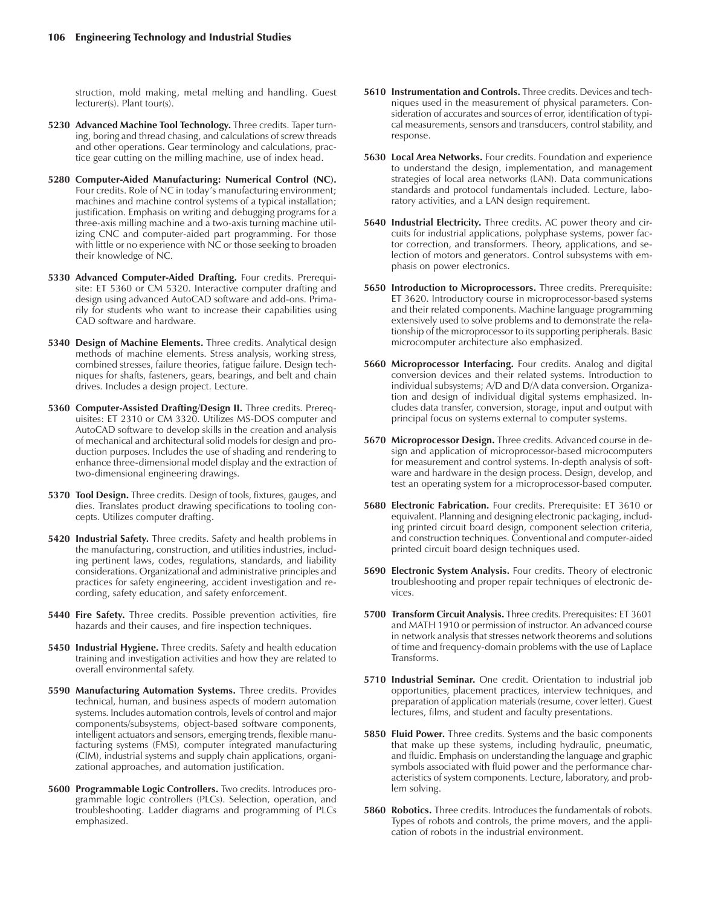struction, mold making, metal melting and handling. Guest lecturer(s). Plant tour(s).

- **5230 Advanced Machine Tool Technology.** Three credits. Taper turning, boring and thread chasing, and calculations of screw threads and other operations. Gear terminology and calculations, practice gear cutting on the milling machine, use of index head.
- **5280 Computer-Aided Manufacturing: Numerical Control (NC).** Four credits. Role of NC in today's manufacturing environment; machines and machine control systems of a typical installation; justification. Emphasis on writing and debugging programs for a three-axis milling machine and a two-axis turning machine utilizing CNC and computer-aided part programming. For those with little or no experience with NC or those seeking to broaden their knowledge of NC.
- **5330 Advanced Computer-Aided Drafting.** Four credits. Prerequisite: ET 5360 or CM 5320. Interactive computer drafting and design using advanced AutoCAD software and add-ons. Primarily for students who want to increase their capabilities using CAD software and hardware.
- **5340 Design of Machine Elements.** Three credits. Analytical design methods of machine elements. Stress analysis, working stress, combined stresses, failure theories, fatigue failure. Design techniques for shafts, fasteners, gears, bearings, and belt and chain drives. Includes a design project. Lecture.
- **5360 Computer-Assisted Drafting/Design II.** Three credits. Prerequisites: ET 2310 or CM 3320. Utilizes MS-DOS computer and AutoCAD software to develop skills in the creation and analysis of mechanical and architectural solid models for design and production purposes. Includes the use of shading and rendering to enhance three-dimensional model display and the extraction of two-dimensional engineering drawings.
- **5370 Tool Design.** Three credits. Design of tools, fixtures, gauges, and dies. Translates product drawing specifications to tooling concepts. Utilizes computer drafting.
- **5420 Industrial Safety.** Three credits. Safety and health problems in the manufacturing, construction, and utilities industries, including pertinent laws, codes, regulations, standards, and liability considerations. Organizational and administrative principles and practices for safety engineering, accident investigation and recording, safety education, and safety enforcement.
- **5440 Fire Safety.** Three credits. Possible prevention activities, fire hazards and their causes, and fire inspection techniques.
- **5450 Industrial Hygiene.** Three credits. Safety and health education training and investigation activities and how they are related to overall environmental safety.
- **5590 Manufacturing Automation Systems.** Three credits. Provides technical, human, and business aspects of modern automation systems. Includes automation controls, levels of control and major components/subsystems, object-based software components, intelligent actuators and sensors, emerging trends, flexible manufacturing systems (FMS), computer integrated manufacturing (CIM), industrial systems and supply chain applications, organizational approaches, and automation justification.
- **5600 Programmable Logic Controllers.** Two credits. Introduces programmable logic controllers (PLCs). Selection, operation, and troubleshooting. Ladder diagrams and programming of PLCs emphasized.
- **5610 Instrumentation and Controls.** Three credits. Devices and techniques used in the measurement of physical parameters. Consideration of accurates and sources of error, identification of typical measurements, sensors and transducers, control stability, and response.
- **5630 Local Area Networks.** Four credits. Foundation and experience to understand the design, implementation, and management strategies of local area networks (LAN). Data communications standards and protocol fundamentals included. Lecture, laboratory activities, and a LAN design requirement.
- **5640 Industrial Electricity.** Three credits. AC power theory and circuits for industrial applications, polyphase systems, power factor correction, and transformers. Theory, applications, and selection of motors and generators. Control subsystems with emphasis on power electronics.
- **5650 Introduction to Microprocessors.** Three credits. Prerequisite: ET 3620. Introductory course in microprocessor-based systems and their related components. Machine language programming extensively used to solve problems and to demonstrate the relationship of the microprocessor to its supporting peripherals. Basic microcomputer architecture also emphasized.
- **5660 Microprocessor Interfacing.** Four credits. Analog and digital conversion devices and their related systems. Introduction to individual subsystems; A/D and D/A data conversion. Organization and design of individual digital systems emphasized. Includes data transfer, conversion, storage, input and output with principal focus on systems external to computer systems.
- **5670 Microprocessor Design.** Three credits. Advanced course in design and application of microprocessor-based microcomputers for measurement and control systems. In-depth analysis of software and hardware in the design process. Design, develop, and test an operating system for a microprocessor-based computer.
- **5680 Electronic Fabrication.** Four credits. Prerequisite: ET 3610 or equivalent. Planning and designing electronic packaging, including printed circuit board design, component selection criteria, and construction techniques. Conventional and computer-aided printed circuit board design techniques used.
- **5690 Electronic System Analysis.** Four credits. Theory of electronic troubleshooting and proper repair techniques of electronic devices.
- **5700 Transform Circuit Analysis.** Three credits. Prerequisites: ET 3601 and MATH 1910 or permission of instructor. An advanced course in network analysis that stresses network theorems and solutions of time and frequency-domain problems with the use of Laplace Transforms.
- **5710 Industrial Seminar.** One credit. Orientation to industrial job opportunities, placement practices, interview techniques, and preparation of application materials (resume, cover letter). Guest lectures, films, and student and faculty presentations.
- **5850 Fluid Power.** Three credits. Systems and the basic components that make up these systems, including hydraulic, pneumatic, and fluidic. Emphasis on understanding the language and graphic symbols associated with fluid power and the performance characteristics of system components. Lecture, laboratory, and problem solving.
- **5860 Robotics.** Three credits. Introduces the fundamentals of robots. Types of robots and controls, the prime movers, and the application of robots in the industrial environment.